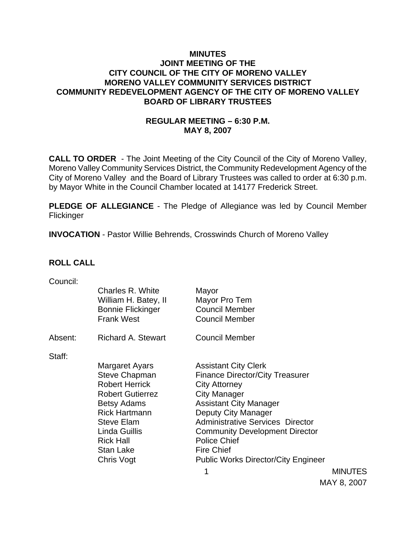## **MINUTES JOINT MEETING OF THE CITY COUNCIL OF THE CITY OF MORENO VALLEY MORENO VALLEY COMMUNITY SERVICES DISTRICT COMMUNITY REDEVELOPMENT AGENCY OF THE CITY OF MORENO VALLEY BOARD OF LIBRARY TRUSTEES**

# **REGULAR MEETING – 6:30 P.M. MAY 8, 2007**

**CALL TO ORDER** - The Joint Meeting of the City Council of the City of Moreno Valley, Moreno Valley Community Services District, the Community Redevelopment Agency of the City of Moreno Valley and the Board of Library Trustees was called to order at 6:30 p.m. by Mayor White in the Council Chamber located at 14177 Frederick Street.

**PLEDGE OF ALLEGIANCE** - The Pledge of Allegiance was led by Council Member **Flickinger** 

**INVOCATION** - Pastor Willie Behrends, Crosswinds Church of Moreno Valley

## **ROLL CALL**

| Council: |                           |                                                                                                                 |                                                                                                                                                                 |
|----------|---------------------------|-----------------------------------------------------------------------------------------------------------------|-----------------------------------------------------------------------------------------------------------------------------------------------------------------|
|          | Charles R. White          | Mayor                                                                                                           |                                                                                                                                                                 |
|          |                           |                                                                                                                 |                                                                                                                                                                 |
|          |                           |                                                                                                                 |                                                                                                                                                                 |
|          |                           |                                                                                                                 |                                                                                                                                                                 |
| Absent:  | <b>Richard A. Stewart</b> | <b>Council Member</b>                                                                                           |                                                                                                                                                                 |
|          |                           |                                                                                                                 |                                                                                                                                                                 |
|          |                           |                                                                                                                 |                                                                                                                                                                 |
|          |                           |                                                                                                                 |                                                                                                                                                                 |
|          |                           |                                                                                                                 |                                                                                                                                                                 |
|          | <b>Robert Herrick</b>     | <b>City Attorney</b>                                                                                            |                                                                                                                                                                 |
|          | <b>Robert Gutierrez</b>   | <b>City Manager</b>                                                                                             |                                                                                                                                                                 |
|          | <b>Betsy Adams</b>        | <b>Assistant City Manager</b>                                                                                   |                                                                                                                                                                 |
|          | <b>Rick Hartmann</b>      |                                                                                                                 |                                                                                                                                                                 |
|          | <b>Steve Elam</b>         | <b>Administrative Services Director</b>                                                                         |                                                                                                                                                                 |
|          | Linda Guillis             | <b>Community Development Director</b>                                                                           |                                                                                                                                                                 |
|          | <b>Rick Hall</b>          | <b>Police Chief</b>                                                                                             |                                                                                                                                                                 |
|          | Stan Lake                 | <b>Fire Chief</b>                                                                                               |                                                                                                                                                                 |
|          | Chris Vogt                | <b>Public Works Director/City Engineer</b>                                                                      |                                                                                                                                                                 |
|          |                           |                                                                                                                 | <b>MINUTES</b>                                                                                                                                                  |
|          | Staff:                    | William H. Batey, II<br><b>Bonnie Flickinger</b><br><b>Frank West</b><br>Margaret Ayars<br><b>Steve Chapman</b> | Mayor Pro Tem<br><b>Council Member</b><br><b>Council Member</b><br><b>Assistant City Clerk</b><br><b>Finance Director/City Treasurer</b><br>Deputy City Manager |

MAY 8, 2007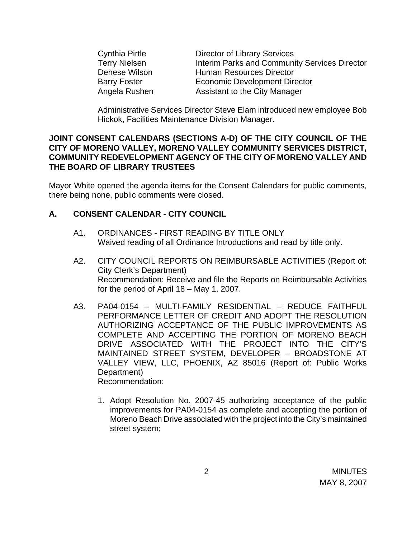| Cynthia Pirtle       | <b>Director of Library Services</b>                  |
|----------------------|------------------------------------------------------|
| <b>Terry Nielsen</b> | <b>Interim Parks and Community Services Director</b> |
| Denese Wilson        | <b>Human Resources Director</b>                      |
| <b>Barry Foster</b>  | <b>Economic Development Director</b>                 |
| Angela Rushen        | Assistant to the City Manager                        |

Administrative Services Director Steve Elam introduced new employee Bob Hickok, Facilities Maintenance Division Manager.

#### **JOINT CONSENT CALENDARS (SECTIONS A-D) OF THE CITY COUNCIL OF THE CITY OF MORENO VALLEY, MORENO VALLEY COMMUNITY SERVICES DISTRICT, COMMUNITY REDEVELOPMENT AGENCY OF THE CITY OF MORENO VALLEY AND THE BOARD OF LIBRARY TRUSTEES**

Mayor White opened the agenda items for the Consent Calendars for public comments, there being none, public comments were closed.

## **A. CONSENT CALENDAR** - **CITY COUNCIL**

- A1. ORDINANCES FIRST READING BY TITLE ONLY Waived reading of all Ordinance Introductions and read by title only.
- A2. CITY COUNCIL REPORTS ON REIMBURSABLE ACTIVITIES (Report of: City Clerk's Department) Recommendation: Receive and file the Reports on Reimbursable Activities for the period of April 18 – May 1, 2007.
- A3. PA04-0154 MULTI-FAMILY RESIDENTIAL REDUCE FAITHFUL PERFORMANCE LETTER OF CREDIT AND ADOPT THE RESOLUTION AUTHORIZING ACCEPTANCE OF THE PUBLIC IMPROVEMENTS AS COMPLETE AND ACCEPTING THE PORTION OF MORENO BEACH DRIVE ASSOCIATED WITH THE PROJECT INTO THE CITY'S MAINTAINED STREET SYSTEM, DEVELOPER – BROADSTONE AT VALLEY VIEW, LLC, PHOENIX, AZ 85016 (Report of: Public Works Department) Recommendation:
	- 1. Adopt Resolution No. 2007-45 authorizing acceptance of the public improvements for PA04-0154 as complete and accepting the portion of Moreno Beach Drive associated with the project into the City's maintained street system;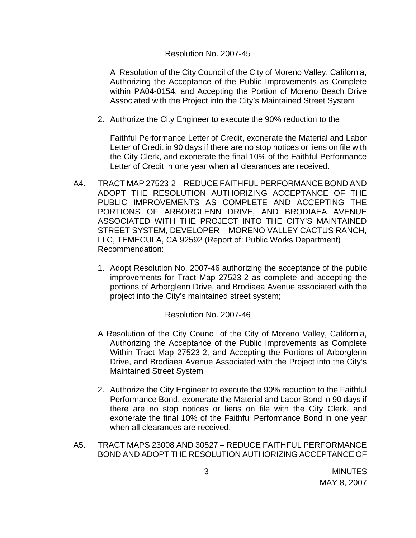#### Resolution No. 2007-45

A Resolution of the City Council of the City of Moreno Valley, California, Authorizing the Acceptance of the Public Improvements as Complete within PA04-0154, and Accepting the Portion of Moreno Beach Drive Associated with the Project into the City's Maintained Street System

2. Authorize the City Engineer to execute the 90% reduction to the

Faithful Performance Letter of Credit, exonerate the Material and Labor Letter of Credit in 90 days if there are no stop notices or liens on file with the City Clerk, and exonerate the final 10% of the Faithful Performance Letter of Credit in one year when all clearances are received.

- A4. TRACT MAP 27523-2 REDUCE FAITHFUL PERFORMANCE BOND AND ADOPT THE RESOLUTION AUTHORIZING ACCEPTANCE OF THE PUBLIC IMPROVEMENTS AS COMPLETE AND ACCEPTING THE PORTIONS OF ARBORGLENN DRIVE, AND BRODIAEA AVENUE ASSOCIATED WITH THE PROJECT INTO THE CITY'S MAINTAINED STREET SYSTEM, DEVELOPER – MORENO VALLEY CACTUS RANCH, LLC, TEMECULA, CA 92592 (Report of: Public Works Department) Recommendation:
	- 1. Adopt Resolution No. 2007-46 authorizing the acceptance of the public improvements for Tract Map 27523-2 as complete and accepting the portions of Arborglenn Drive, and Brodiaea Avenue associated with the project into the City's maintained street system;

#### Resolution No. 2007-46

- A Resolution of the City Council of the City of Moreno Valley, California, Authorizing the Acceptance of the Public Improvements as Complete Within Tract Map 27523-2, and Accepting the Portions of Arborglenn Drive, and Brodiaea Avenue Associated with the Project into the City's Maintained Street System
- 2. Authorize the City Engineer to execute the 90% reduction to the Faithful Performance Bond, exonerate the Material and Labor Bond in 90 days if there are no stop notices or liens on file with the City Clerk, and exonerate the final 10% of the Faithful Performance Bond in one year when all clearances are received.
- A5. TRACT MAPS 23008 AND 30527 REDUCE FAITHFUL PERFORMANCE BOND AND ADOPT THE RESOLUTION AUTHORIZING ACCEPTANCE OF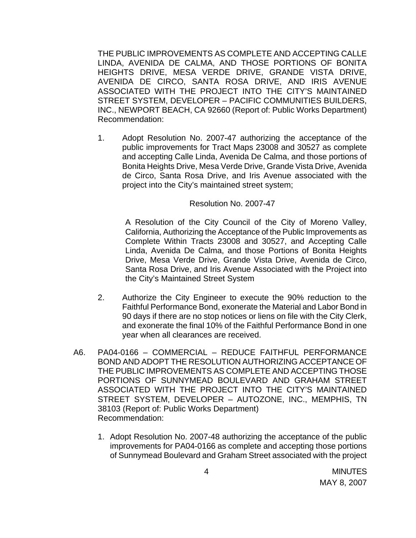THE PUBLIC IMPROVEMENTS AS COMPLETE AND ACCEPTING CALLE LINDA, AVENIDA DE CALMA, AND THOSE PORTIONS OF BONITA HEIGHTS DRIVE, MESA VERDE DRIVE, GRANDE VISTA DRIVE, AVENIDA DE CIRCO, SANTA ROSA DRIVE, AND IRIS AVENUE ASSOCIATED WITH THE PROJECT INTO THE CITY'S MAINTAINED STREET SYSTEM, DEVELOPER – PACIFIC COMMUNITIES BUILDERS, INC., NEWPORT BEACH, CA 92660 (Report of: Public Works Department) Recommendation:

1. Adopt Resolution No. 2007-47 authorizing the acceptance of the public improvements for Tract Maps 23008 and 30527 as complete and accepting Calle Linda, Avenida De Calma, and those portions of Bonita Heights Drive, Mesa Verde Drive, Grande Vista Drive, Avenida de Circo, Santa Rosa Drive, and Iris Avenue associated with the project into the City's maintained street system;

#### Resolution No. 2007-47

A Resolution of the City Council of the City of Moreno Valley, California, Authorizing the Acceptance of the Public Improvements as Complete Within Tracts 23008 and 30527, and Accepting Calle Linda, Avenida De Calma, and those Portions of Bonita Heights Drive, Mesa Verde Drive, Grande Vista Drive, Avenida de Circo, Santa Rosa Drive, and Iris Avenue Associated with the Project into the City's Maintained Street System

- 2. Authorize the City Engineer to execute the 90% reduction to the Faithful Performance Bond, exonerate the Material and Labor Bond in 90 days if there are no stop notices or liens on file with the City Clerk, and exonerate the final 10% of the Faithful Performance Bond in one year when all clearances are received.
- A6. PA04-0166 COMMERCIAL REDUCE FAITHFUL PERFORMANCE BOND AND ADOPT THE RESOLUTION AUTHORIZING ACCEPTANCE OF THE PUBLIC IMPROVEMENTS AS COMPLETE AND ACCEPTING THOSE PORTIONS OF SUNNYMEAD BOULEVARD AND GRAHAM STREET ASSOCIATED WITH THE PROJECT INTO THE CITY'S MAINTAINED STREET SYSTEM, DEVELOPER – AUTOZONE, INC., MEMPHIS, TN 38103 (Report of: Public Works Department) Recommendation:
	- 1. Adopt Resolution No. 2007-48 authorizing the acceptance of the public improvements for PA04-0166 as complete and accepting those portions of Sunnymead Boulevard and Graham Street associated with the project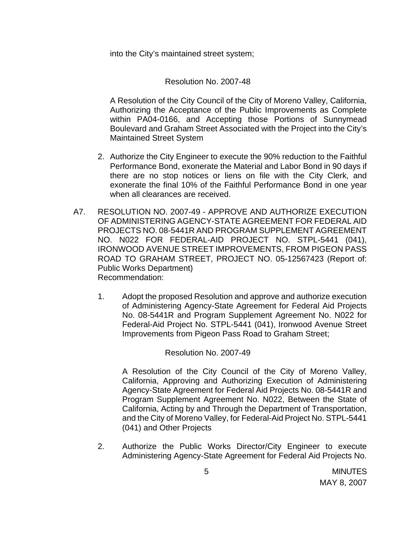into the City's maintained street system;

Resolution No. 2007-48

 A Resolution of the City Council of the City of Moreno Valley, California, Authorizing the Acceptance of the Public Improvements as Complete within PA04-0166, and Accepting those Portions of Sunnymead Boulevard and Graham Street Associated with the Project into the City's Maintained Street System

- 2. Authorize the City Engineer to execute the 90% reduction to the Faithful Performance Bond, exonerate the Material and Labor Bond in 90 days if there are no stop notices or liens on file with the City Clerk, and exonerate the final 10% of the Faithful Performance Bond in one year when all clearances are received.
- A7. RESOLUTION NO. 2007-49 APPROVE AND AUTHORIZE EXECUTION OF ADMINISTERING AGENCY-STATE AGREEMENT FOR FEDERAL AID PROJECTS NO. 08-5441R AND PROGRAM SUPPLEMENT AGREEMENT NO. N022 FOR FEDERAL-AID PROJECT NO. STPL-5441 (041), IRONWOOD AVENUE STREET IMPROVEMENTS, FROM PIGEON PASS ROAD TO GRAHAM STREET, PROJECT NO. 05-12567423 (Report of: Public Works Department) Recommendation:
	- 1. Adopt the proposed Resolution and approve and authorize execution of Administering Agency-State Agreement for Federal Aid Projects No. 08-5441R and Program Supplement Agreement No. N022 for Federal-Aid Project No. STPL-5441 (041), Ironwood Avenue Street Improvements from Pigeon Pass Road to Graham Street;

Resolution No. 2007-49

 A Resolution of the City Council of the City of Moreno Valley, California, Approving and Authorizing Execution of Administering Agency-State Agreement for Federal Aid Projects No. 08-5441R and Program Supplement Agreement No. N022, Between the State of California, Acting by and Through the Department of Transportation, and the City of Moreno Valley, for Federal-Aid Project No. STPL-5441 (041) and Other Projects

2. Authorize the Public Works Director/City Engineer to execute Administering Agency-State Agreement for Federal Aid Projects No.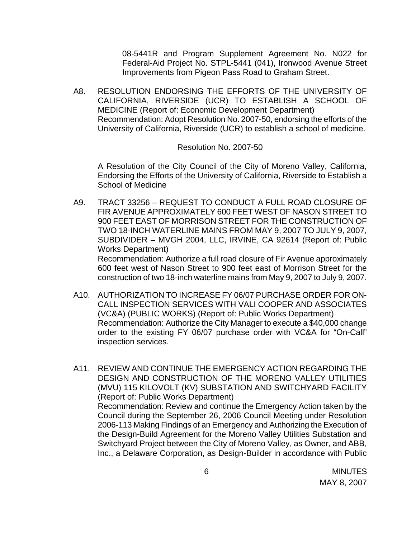08-5441R and Program Supplement Agreement No. N022 for Federal-Aid Project No. STPL-5441 (041), Ironwood Avenue Street Improvements from Pigeon Pass Road to Graham Street.

A8. RESOLUTION ENDORSING THE EFFORTS OF THE UNIVERSITY OF CALIFORNIA, RIVERSIDE (UCR) TO ESTABLISH A SCHOOL OF MEDICINE (Report of: Economic Development Department) Recommendation: Adopt Resolution No. 2007-50, endorsing the efforts of the University of California, Riverside (UCR) to establish a school of medicine.

#### Resolution No. 2007-50

A Resolution of the City Council of the City of Moreno Valley, California, Endorsing the Efforts of the University of California, Riverside to Establish a School of Medicine

- A9. TRACT 33256 REQUEST TO CONDUCT A FULL ROAD CLOSURE OF FIR AVENUE APPROXIMATELY 600 FEET WEST OF NASON STREET TO 900 FEET EAST OF MORRISON STREET FOR THE CONSTRUCTION OF TWO 18-INCH WATERLINE MAINS FROM MAY 9, 2007 TO JULY 9, 2007, SUBDIVIDER – MVGH 2004, LLC, IRVINE, CA 92614 (Report of: Public Works Department) Recommendation: Authorize a full road closure of Fir Avenue approximately 600 feet west of Nason Street to 900 feet east of Morrison Street for the
- A10. AUTHORIZATION TO INCREASE FY 06/07 PURCHASE ORDER FOR ON-CALL INSPECTION SERVICES WITH VALI COOPER AND ASSOCIATES (VC&A) (PUBLIC WORKS) (Report of: Public Works Department) Recommendation: Authorize the City Manager to execute a \$40,000 change order to the existing FY 06/07 purchase order with VC&A for "On-Call" inspection services.

construction of two 18-inch waterline mains from May 9, 2007 to July 9, 2007.

A11. REVIEW AND CONTINUE THE EMERGENCY ACTION REGARDING THE DESIGN AND CONSTRUCTION OF THE MORENO VALLEY UTILITIES (MVU) 115 KILOVOLT (KV) SUBSTATION AND SWITCHYARD FACILITY (Report of: Public Works Department) Recommendation: Review and continue the Emergency Action taken by the Council during the September 26, 2006 Council Meeting under Resolution 2006-113 Making Findings of an Emergency and Authorizing the Execution of the Design-Build Agreement for the Moreno Valley Utilities Substation and Switchyard Project between the City of Moreno Valley, as Owner, and ABB, Inc., a Delaware Corporation, as Design-Builder in accordance with Public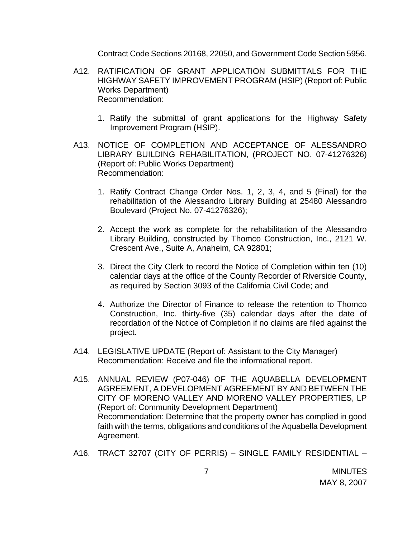Contract Code Sections 20168, 22050, and Government Code Section 5956.

- A12. RATIFICATION OF GRANT APPLICATION SUBMITTALS FOR THE HIGHWAY SAFETY IMPROVEMENT PROGRAM (HSIP) (Report of: Public Works Department) Recommendation:
	- 1. Ratify the submittal of grant applications for the Highway Safety Improvement Program (HSIP).
- A13. NOTICE OF COMPLETION AND ACCEPTANCE OF ALESSANDRO LIBRARY BUILDING REHABILITATION, (PROJECT NO. 07-41276326) (Report of: Public Works Department) Recommendation:
	- 1. Ratify Contract Change Order Nos. 1, 2, 3, 4, and 5 (Final) for the rehabilitation of the Alessandro Library Building at 25480 Alessandro Boulevard (Project No. 07-41276326);
	- 2. Accept the work as complete for the rehabilitation of the Alessandro Library Building, constructed by Thomco Construction, Inc., 2121 W. Crescent Ave., Suite A, Anaheim, CA 92801;
	- 3. Direct the City Clerk to record the Notice of Completion within ten (10) calendar days at the office of the County Recorder of Riverside County, as required by Section 3093 of the California Civil Code; and
	- 4. Authorize the Director of Finance to release the retention to Thomco Construction, Inc. thirty-five (35) calendar days after the date of recordation of the Notice of Completion if no claims are filed against the project.
- A14. LEGISLATIVE UPDATE (Report of: Assistant to the City Manager) Recommendation: Receive and file the informational report.
- A15. ANNUAL REVIEW (P07-046) OF THE AQUABELLA DEVELOPMENT AGREEMENT, A DEVELOPMENT AGREEMENT BY AND BETWEEN THE CITY OF MORENO VALLEY AND MORENO VALLEY PROPERTIES, LP (Report of: Community Development Department) Recommendation: Determine that the property owner has complied in good faith with the terms, obligations and conditions of the Aquabella Development Agreement.
- A16. TRACT 32707 (CITY OF PERRIS) SINGLE FAMILY RESIDENTIAL –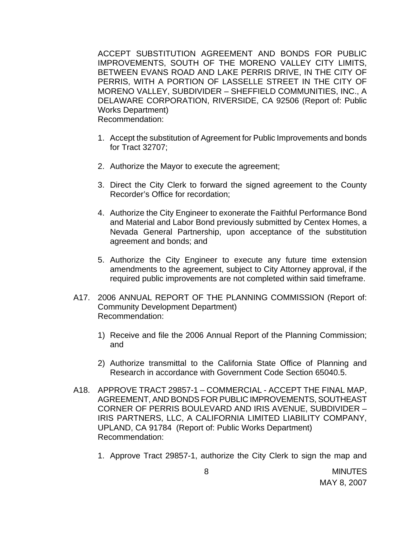ACCEPT SUBSTITUTION AGREEMENT AND BONDS FOR PUBLIC IMPROVEMENTS, SOUTH OF THE MORENO VALLEY CITY LIMITS, BETWEEN EVANS ROAD AND LAKE PERRIS DRIVE, IN THE CITY OF PERRIS, WITH A PORTION OF LASSELLE STREET IN THE CITY OF MORENO VALLEY, SUBDIVIDER – SHEFFIELD COMMUNITIES, INC., A DELAWARE CORPORATION, RIVERSIDE, CA 92506 (Report of: Public Works Department) Recommendation:

- 1. Accept the substitution of Agreement for Public Improvements and bonds for Tract 32707;
- 2. Authorize the Mayor to execute the agreement;
- 3. Direct the City Clerk to forward the signed agreement to the County Recorder's Office for recordation;
- 4. Authorize the City Engineer to exonerate the Faithful Performance Bond and Material and Labor Bond previously submitted by Centex Homes, a Nevada General Partnership, upon acceptance of the substitution agreement and bonds; and
- 5. Authorize the City Engineer to execute any future time extension amendments to the agreement, subject to City Attorney approval, if the required public improvements are not completed within said timeframe.
- A17. 2006 ANNUAL REPORT OF THE PLANNING COMMISSION (Report of: Community Development Department) Recommendation:
	- 1) Receive and file the 2006 Annual Report of the Planning Commission; and
	- 2) Authorize transmittal to the California State Office of Planning and Research in accordance with Government Code Section 65040.5.
- A18. APPROVE TRACT 29857-1 COMMERCIAL ACCEPT THE FINAL MAP, AGREEMENT, AND BONDS FOR PUBLIC IMPROVEMENTS, SOUTHEAST CORNER OF PERRIS BOULEVARD AND IRIS AVENUE, SUBDIVIDER – IRIS PARTNERS, LLC, A CALIFORNIA LIMITED LIABILITY COMPANY, UPLAND, CA 91784 (Report of: Public Works Department) Recommendation:
	- 1. Approve Tract 29857-1, authorize the City Clerk to sign the map and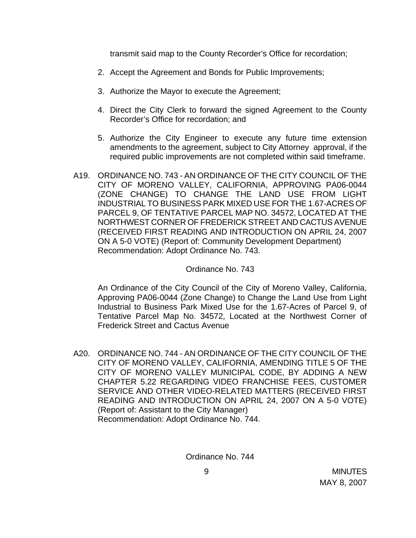transmit said map to the County Recorder's Office for recordation;

- 2. Accept the Agreement and Bonds for Public Improvements;
- 3. Authorize the Mayor to execute the Agreement;
- 4. Direct the City Clerk to forward the signed Agreement to the County Recorder's Office for recordation; and
- 5. Authorize the City Engineer to execute any future time extension amendments to the agreement, subject to City Attorney approval, if the required public improvements are not completed within said timeframe.
- A19. ORDINANCE NO. 743 AN ORDINANCE OF THE CITY COUNCIL OF THE CITY OF MORENO VALLEY, CALIFORNIA, APPROVING PA06-0044 (ZONE CHANGE) TO CHANGE THE LAND USE FROM LIGHT INDUSTRIAL TO BUSINESS PARK MIXED USE FOR THE 1.67-ACRES OF PARCEL 9, OF TENTATIVE PARCEL MAP NO. 34572, LOCATED AT THE NORTHWEST CORNER OF FREDERICK STREET AND CACTUS AVENUE (RECEIVED FIRST READING AND INTRODUCTION ON APRIL 24, 2007 ON A 5-0 VOTE) (Report of: Community Development Department) Recommendation: Adopt Ordinance No. 743.

#### Ordinance No. 743

An Ordinance of the City Council of the City of Moreno Valley, California, Approving PA06-0044 (Zone Change) to Change the Land Use from Light Industrial to Business Park Mixed Use for the 1.67-Acres of Parcel 9, of Tentative Parcel Map No. 34572, Located at the Northwest Corner of Frederick Street and Cactus Avenue

A20. ORDINANCE NO. 744 - AN ORDINANCE OF THE CITY COUNCIL OF THE CITY OF MORENO VALLEY, CALIFORNIA, AMENDING TITLE 5 OF THE CITY OF MORENO VALLEY MUNICIPAL CODE, BY ADDING A NEW CHAPTER 5.22 REGARDING VIDEO FRANCHISE FEES, CUSTOMER SERVICE AND OTHER VIDEO-RELATED MATTERS (RECEIVED FIRST READING AND INTRODUCTION ON APRIL 24, 2007 ON A 5-0 VOTE) (Report of: Assistant to the City Manager) Recommendation: Adopt Ordinance No. 744.

Ordinance No. 744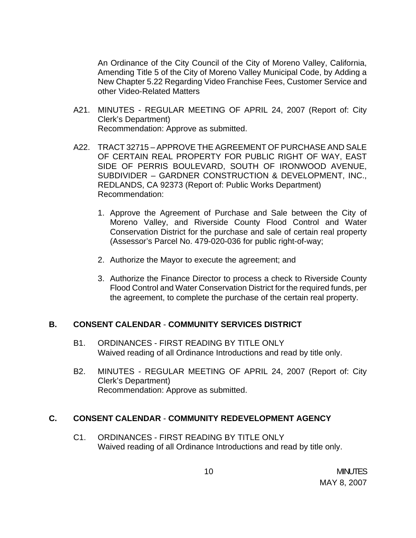An Ordinance of the City Council of the City of Moreno Valley, California, Amending Title 5 of the City of Moreno Valley Municipal Code, by Adding a New Chapter 5.22 Regarding Video Franchise Fees, Customer Service and other Video-Related Matters

- A21. MINUTES REGULAR MEETING OF APRIL 24, 2007 (Report of: City Clerk's Department) Recommendation: Approve as submitted.
- A22. TRACT 32715 APPROVE THE AGREEMENT OF PURCHASE AND SALE OF CERTAIN REAL PROPERTY FOR PUBLIC RIGHT OF WAY, EAST SIDE OF PERRIS BOULEVARD, SOUTH OF IRONWOOD AVENUE, SUBDIVIDER – GARDNER CONSTRUCTION & DEVELOPMENT, INC., REDLANDS, CA 92373 (Report of: Public Works Department) Recommendation:
	- 1. Approve the Agreement of Purchase and Sale between the City of Moreno Valley, and Riverside County Flood Control and Water Conservation District for the purchase and sale of certain real property (Assessor's Parcel No. 479-020-036 for public right-of-way;
	- 2. Authorize the Mayor to execute the agreement; and
	- 3. Authorize the Finance Director to process a check to Riverside County Flood Control and Water Conservation District for the required funds, per the agreement, to complete the purchase of the certain real property.

## **B. CONSENT CALENDAR** - **COMMUNITY SERVICES DISTRICT**

- B1. ORDINANCES FIRST READING BY TITLE ONLY Waived reading of all Ordinance Introductions and read by title only.
- B2. MINUTES REGULAR MEETING OF APRIL 24, 2007 (Report of: City Clerk's Department) Recommendation: Approve as submitted.

## **C. CONSENT CALENDAR** - **COMMUNITY REDEVELOPMENT AGENCY**

C1. ORDINANCES - FIRST READING BY TITLE ONLY Waived reading of all Ordinance Introductions and read by title only.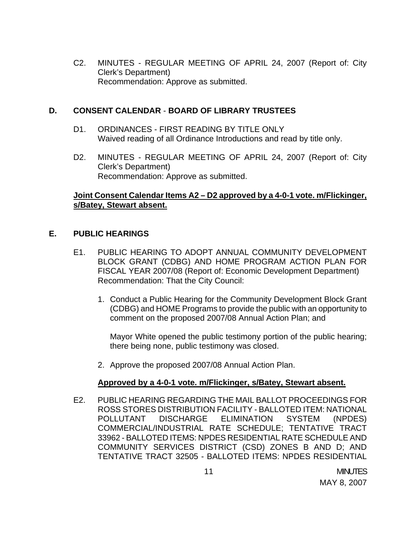C2. MINUTES - REGULAR MEETING OF APRIL 24, 2007 (Report of: City Clerk's Department) Recommendation: Approve as submitted.

#### **D. CONSENT CALENDAR** - **BOARD OF LIBRARY TRUSTEES**

- D1. ORDINANCES FIRST READING BY TITLE ONLY Waived reading of all Ordinance Introductions and read by title only.
- D2. MINUTES REGULAR MEETING OF APRIL 24, 2007 (Report of: City Clerk's Department) Recommendation: Approve as submitted.

## **Joint Consent Calendar Items A2 – D2 approved by a 4-0-1 vote. m/Flickinger, s/Batey, Stewart absent.**

## **E. PUBLIC HEARINGS**

- E1. PUBLIC HEARING TO ADOPT ANNUAL COMMUNITY DEVELOPMENT BLOCK GRANT (CDBG) AND HOME PROGRAM ACTION PLAN FOR FISCAL YEAR 2007/08 (Report of: Economic Development Department) Recommendation: That the City Council:
	- 1. Conduct a Public Hearing for the Community Development Block Grant (CDBG) and HOME Programs to provide the public with an opportunity to comment on the proposed 2007/08 Annual Action Plan; and

Mayor White opened the public testimony portion of the public hearing; there being none, public testimony was closed.

2. Approve the proposed 2007/08 Annual Action Plan.

## **Approved by a 4-0-1 vote. m/Flickinger, s/Batey, Stewart absent.**

E2. PUBLIC HEARING REGARDING THE MAIL BALLOT PROCEEDINGS FOR ROSS STORES DISTRIBUTION FACILITY - BALLOTED ITEM: NATIONAL POLLUTANT DISCHARGE ELIMINATION SYSTEM (NPDES) COMMERCIAL/INDUSTRIAL RATE SCHEDULE; TENTATIVE TRACT 33962 - BALLOTED ITEMS: NPDES RESIDENTIAL RATE SCHEDULE AND COMMUNITY SERVICES DISTRICT (CSD) ZONES B AND D; AND TENTATIVE TRACT 32505 - BALLOTED ITEMS: NPDES RESIDENTIAL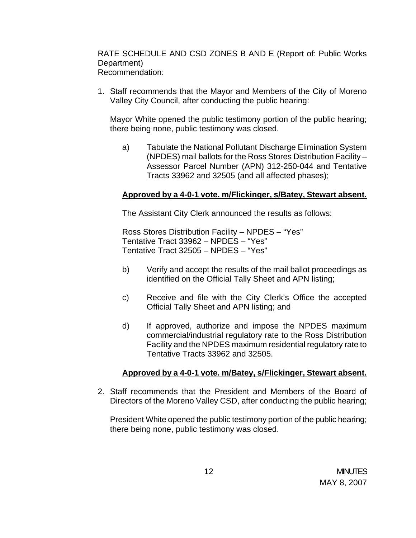RATE SCHEDULE AND CSD ZONES B AND E (Report of: Public Works Department) Recommendation:

1. Staff recommends that the Mayor and Members of the City of Moreno Valley City Council, after conducting the public hearing:

Mayor White opened the public testimony portion of the public hearing; there being none, public testimony was closed.

a) Tabulate the National Pollutant Discharge Elimination System (NPDES) mail ballots for the Ross Stores Distribution Facility – Assessor Parcel Number (APN) 312-250-044 and Tentative Tracts 33962 and 32505 (and all affected phases);

## **Approved by a 4-0-1 vote. m/Flickinger, s/Batey, Stewart absent.**

The Assistant City Clerk announced the results as follows:

Ross Stores Distribution Facility – NPDES – "Yes" Tentative Tract 33962 – NPDES – "Yes" Tentative Tract 32505 – NPDES – "Yes"

- b) Verify and accept the results of the mail ballot proceedings as identified on the Official Tally Sheet and APN listing;
- c) Receive and file with the City Clerk's Office the accepted Official Tally Sheet and APN listing; and
- d) If approved, authorize and impose the NPDES maximum commercial/industrial regulatory rate to the Ross Distribution Facility and the NPDES maximum residential regulatory rate to Tentative Tracts 33962 and 32505.

## **Approved by a 4-0-1 vote. m/Batey, s/Flickinger, Stewart absent.**

2. Staff recommends that the President and Members of the Board of Directors of the Moreno Valley CSD, after conducting the public hearing;

President White opened the public testimony portion of the public hearing; there being none, public testimony was closed.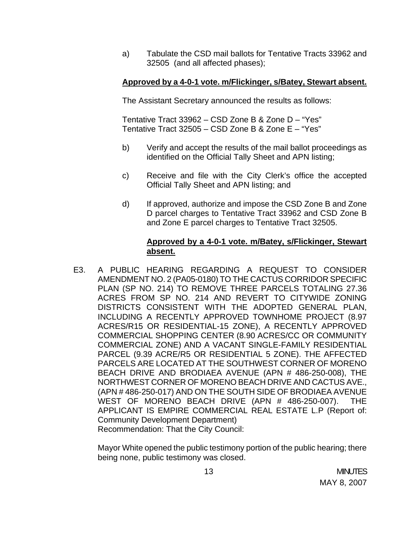a) Tabulate the CSD mail ballots for Tentative Tracts 33962 and 32505 (and all affected phases);

## **Approved by a 4-0-1 vote. m/Flickinger, s/Batey, Stewart absent.**

The Assistant Secretary announced the results as follows:

Tentative Tract 33962 – CSD Zone B & Zone D – "Yes" Tentative Tract 32505 – CSD Zone B & Zone E – "Yes"

- b) Verify and accept the results of the mail ballot proceedings as identified on the Official Tally Sheet and APN listing;
- c) Receive and file with the City Clerk's office the accepted Official Tally Sheet and APN listing; and
- d) If approved, authorize and impose the CSD Zone B and Zone D parcel charges to Tentative Tract 33962 and CSD Zone B and Zone E parcel charges to Tentative Tract 32505.

#### **Approved by a 4-0-1 vote. m/Batey, s/Flickinger, Stewart absent.**

E3. A PUBLIC HEARING REGARDING A REQUEST TO CONSIDER AMENDMENT NO. 2 (PA05-0180) TO THE CACTUS CORRIDOR SPECIFIC PLAN (SP NO. 214) TO REMOVE THREE PARCELS TOTALING 27.36 ACRES FROM SP NO. 214 AND REVERT TO CITYWIDE ZONING DISTRICTS CONSISTENT WITH THE ADOPTED GENERAL PLAN, INCLUDING A RECENTLY APPROVED TOWNHOME PROJECT (8.97 ACRES/R15 OR RESIDENTIAL-15 ZONE), A RECENTLY APPROVED COMMERCIAL SHOPPING CENTER (8.90 ACRES/CC OR COMMUNITY COMMERCIAL ZONE) AND A VACANT SINGLE-FAMILY RESIDENTIAL PARCEL (9.39 ACRE/R5 OR RESIDENTIAL 5 ZONE). THE AFFECTED PARCELS ARE LOCATED AT THE SOUTHWEST CORNER OF MORENO BEACH DRIVE AND BRODIAEA AVENUE (APN # 486-250-008), THE NORTHWEST CORNER OF MORENO BEACH DRIVE AND CACTUS AVE., (APN # 486-250-017) AND ON THE SOUTH SIDE OF BRODIAEA AVENUE WEST OF MORENO BEACH DRIVE (APN # 486-250-007). THE APPLICANT IS EMPIRE COMMERCIAL REAL ESTATE L.P (Report of: Community Development Department) Recommendation: That the City Council:

Mayor White opened the public testimony portion of the public hearing; there being none, public testimony was closed.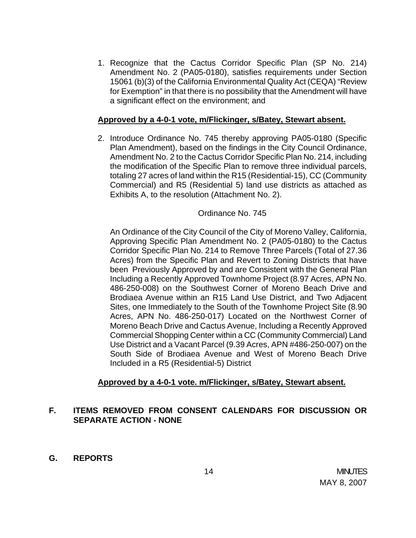1. Recognize that the Cactus Corridor Specific Plan (SP No. 214) Amendment No. 2 (PA05-0180), satisfies requirements under Section 15061 (b)(3) of the California Environmental Quality Act (CEQA) "Review for Exemption" in that there is no possibility that the Amendment will have a significant effect on the environment; and

## **Approved by a 4-0-1 vote, m/Flickinger, s/Batey, Stewart absent.**

2. Introduce Ordinance No. 745 thereby approving PA05-0180 (Specific Plan Amendment), based on the findings in the City Council Ordinance, Amendment No. 2 to the Cactus Corridor Specific Plan No. 214, including the modification of the Specific Plan to remove three individual parcels, totaling 27 acres of land within the R15 (Residential-15), CC (Community Commercial) and R5 (Residential 5) land use districts as attached as Exhibits A, to the resolution (Attachment No. 2).

## Ordinance No. 745

An Ordinance of the City Council of the City of Moreno Valley, California, Approving Specific Plan Amendment No. 2 (PA05-0180) to the Cactus Corridor Specific Plan No. 214 to Remove Three Parcels (Total of 27.36 Acres) from the Specific Plan and Revert to Zoning Districts that have been Previously Approved by and are Consistent with the General Plan Including a Recently Approved Townhome Project (8.97 Acres, APN No. 486-250-008) on the Southwest Corner of Moreno Beach Drive and Brodiaea Avenue within an R15 Land Use District, and Two Adjacent Sites, one Immediately to the South of the Townhome Project Site (8.90 Acres, APN No. 486-250-017) Located on the Northwest Corner of Moreno Beach Drive and Cactus Avenue, Including a Recently Approved Commercial Shopping Center within a CC (Community Commercial) Land Use District and a Vacant Parcel (9.39 Acres, APN #486-250-007) on the South Side of Brodiaea Avenue and West of Moreno Beach Drive Included in a R5 (Residential-5) District

# **Approved by a 4-0-1 vote. m/Flickinger, s/Batey, Stewart absent.**

# **F. ITEMS REMOVED FROM CONSENT CALENDARS FOR DISCUSSION OR SEPARATE ACTION - NONE**

**G. REPORTS**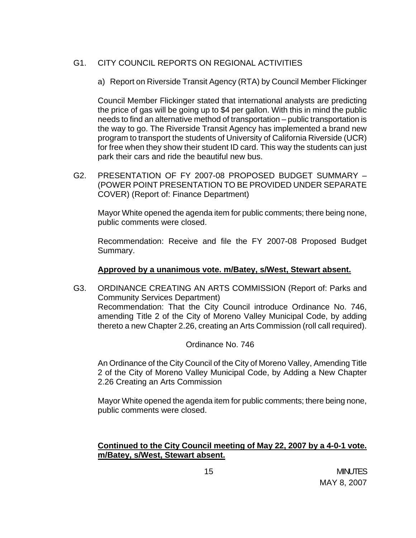# G1. CITY COUNCIL REPORTS ON REGIONAL ACTIVITIES

a) Report on Riverside Transit Agency (RTA) by Council Member Flickinger

 Council Member Flickinger stated that international analysts are predicting the price of gas will be going up to \$4 per gallon. With this in mind the public needs to find an alternative method of transportation – public transportation is the way to go. The Riverside Transit Agency has implemented a brand new program to transport the students of University of California Riverside (UCR) for free when they show their student ID card. This way the students can just park their cars and ride the beautiful new bus.

G2. PRESENTATION OF FY 2007-08 PROPOSED BUDGET SUMMARY – (POWER POINT PRESENTATION TO BE PROVIDED UNDER SEPARATE COVER) (Report of: Finance Department)

 Mayor White opened the agenda item for public comments; there being none, public comments were closed.

 Recommendation: Receive and file the FY 2007-08 Proposed Budget Summary.

## **Approved by a unanimous vote. m/Batey, s/West, Stewart absent.**

G3. ORDINANCE CREATING AN ARTS COMMISSION (Report of: Parks and Community Services Department) Recommendation: That the City Council introduce Ordinance No. 746, amending Title 2 of the City of Moreno Valley Municipal Code, by adding thereto a new Chapter 2.26, creating an Arts Commission (roll call required).

Ordinance No. 746

An Ordinance of the City Council of the City of Moreno Valley, Amending Title 2 of the City of Moreno Valley Municipal Code, by Adding a New Chapter 2.26 Creating an Arts Commission

 Mayor White opened the agenda item for public comments; there being none, public comments were closed.

# **Continued to the City Council meeting of May 22, 2007 by a 4-0-1 vote. m/Batey, s/West, Stewart absent.**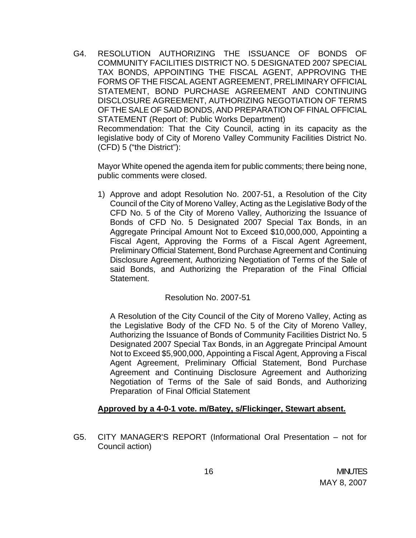G4. RESOLUTION AUTHORIZING THE ISSUANCE OF BONDS OF COMMUNITY FACILITIES DISTRICT NO. 5 DESIGNATED 2007 SPECIAL TAX BONDS, APPOINTING THE FISCAL AGENT, APPROVING THE FORMS OF THE FISCAL AGENT AGREEMENT, PRELIMINARY OFFICIAL STATEMENT, BOND PURCHASE AGREEMENT AND CONTINUING DISCLOSURE AGREEMENT, AUTHORIZING NEGOTIATION OF TERMS OF THE SALE OF SAID BONDS, AND PREPARATION OF FINAL OFFICIAL STATEMENT (Report of: Public Works Department) Recommendation: That the City Council, acting in its capacity as the legislative body of City of Moreno Valley Community Facilities District No.

(CFD) 5 ("the District"):

 Mayor White opened the agenda item for public comments; there being none, public comments were closed.

1) Approve and adopt Resolution No. 2007-51, a Resolution of the City Council of the City of Moreno Valley, Acting as the Legislative Body of the CFD No. 5 of the City of Moreno Valley, Authorizing the Issuance of Bonds of CFD No. 5 Designated 2007 Special Tax Bonds, in an Aggregate Principal Amount Not to Exceed \$10,000,000, Appointing a Fiscal Agent, Approving the Forms of a Fiscal Agent Agreement, Preliminary Official Statement, Bond Purchase Agreement and Continuing Disclosure Agreement, Authorizing Negotiation of Terms of the Sale of said Bonds, and Authorizing the Preparation of the Final Official Statement.

# Resolution No. 2007-51

A Resolution of the City Council of the City of Moreno Valley, Acting as the Legislative Body of the CFD No. 5 of the City of Moreno Valley, Authorizing the Issuance of Bonds of Community Facilities District No. 5 Designated 2007 Special Tax Bonds, in an Aggregate Principal Amount Not to Exceed \$5,900,000, Appointing a Fiscal Agent, Approving a Fiscal Agent Agreement, Preliminary Official Statement, Bond Purchase Agreement and Continuing Disclosure Agreement and Authorizing Negotiation of Terms of the Sale of said Bonds, and Authorizing Preparation of Final Official Statement

## **Approved by a 4-0-1 vote. m/Batey, s/Flickinger, Stewart absent.**

G5. CITY MANAGER'S REPORT (Informational Oral Presentation – not for Council action)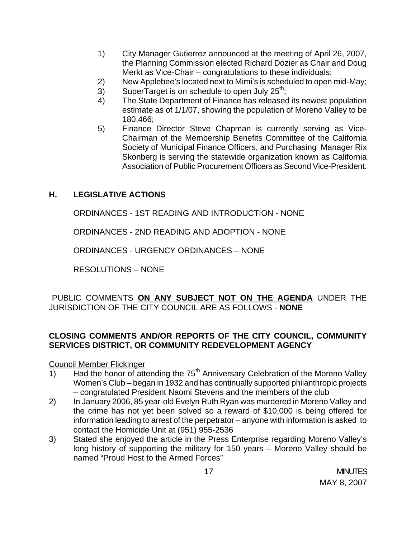- 1) City Manager Gutierrez announced at the meeting of April 26, 2007, the Planning Commission elected Richard Dozier as Chair and Doug Merkt as Vice-Chair – congratulations to these individuals;
- 2) New Applebee's located next to Mimi's is scheduled to open mid-May;
- $3)$  SuperTarget is on schedule to open July 25<sup>th</sup>;
- 4) The State Department of Finance has released its newest population estimate as of 1/1/07, showing the population of Moreno Valley to be 180,466;
- 5) Finance Director Steve Chapman is currently serving as Vice-Chairman of the Membership Benefits Committee of the California Society of Municipal Finance Officers, and Purchasing Manager Rix Skonberg is serving the statewide organization known as California Association of Public Procurement Officers as Second Vice-President.

# **H. LEGISLATIVE ACTIONS**

ORDINANCES - 1ST READING AND INTRODUCTION - NONE

ORDINANCES - 2ND READING AND ADOPTION - NONE

ORDINANCES - URGENCY ORDINANCES – NONE

RESOLUTIONS – NONE

PUBLIC COMMENTS **ON ANY SUBJECT NOT ON THE AGENDA** UNDER THE JURISDICTION OF THE CITY COUNCIL ARE AS FOLLOWS - **NONE** 

## **CLOSING COMMENTS AND/OR REPORTS OF THE CITY COUNCIL, COMMUNITY SERVICES DISTRICT, OR COMMUNITY REDEVELOPMENT AGENCY**

Council Member Flickinger

- 1) Had the honor of attending the  $75<sup>th</sup>$  Anniversary Celebration of the Moreno Valley Women's Club – began in 1932 and has continually supported philanthropic projects – congratulated President Naomi Stevens and the members of the club
- 2) In January 2006, 85 year-old Evelyn Ruth Ryan was murdered in Moreno Valley and the crime has not yet been solved so a reward of \$10,000 is being offered for information leading to arrest of the perpetrator – anyone with information is asked to contact the Homicide Unit at (951) 955-2536
- 3) Stated she enjoyed the article in the Press Enterprise regarding Moreno Valley's long history of supporting the military for 150 years – Moreno Valley should be named "Proud Host to the Armed Forces"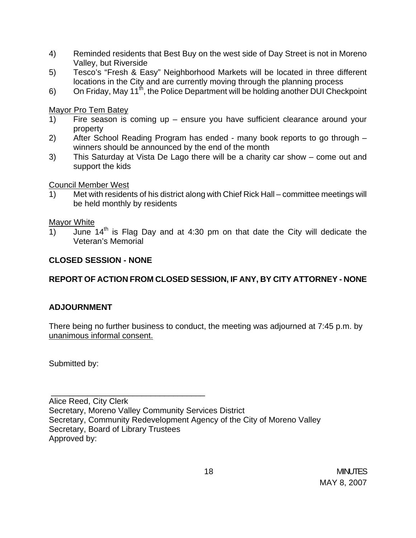- 4) Reminded residents that Best Buy on the west side of Day Street is not in Moreno Valley, but Riverside
- 5) Tesco's "Fresh & Easy" Neighborhood Markets will be located in three different locations in the City and are currently moving through the planning process
- 6) On Friday, May 11<sup>th</sup>, the Police Department will be holding another DUI Checkpoint

## Mayor Pro Tem Batey

- 1) Fire season is coming up ensure you have sufficient clearance around your property
- 2) After School Reading Program has ended many book reports to go through winners should be announced by the end of the month
- 3) This Saturday at Vista De Lago there will be a charity car show come out and support the kids

## Council Member West

1) Met with residents of his district along with Chief Rick Hall – committee meetings will be held monthly by residents

## Mayor White

 $\overline{1}$  June  $14<sup>th</sup>$  is Flag Day and at 4:30 pm on that date the City will dedicate the Veteran's Memorial

# **CLOSED SESSION - NONE**

\_\_\_\_\_\_\_\_\_\_\_\_\_\_\_\_\_\_\_\_\_\_\_\_\_\_\_\_\_\_\_\_\_\_

# **REPORT OF ACTION FROM CLOSED SESSION, IF ANY, BY CITY ATTORNEY - NONE**

## **ADJOURNMENT**

There being no further business to conduct, the meeting was adjourned at 7:45 p.m. by unanimous informal consent.

Submitted by:

Alice Reed, City Clerk Secretary, Moreno Valley Community Services District Secretary, Community Redevelopment Agency of the City of Moreno Valley Secretary, Board of Library Trustees Approved by: